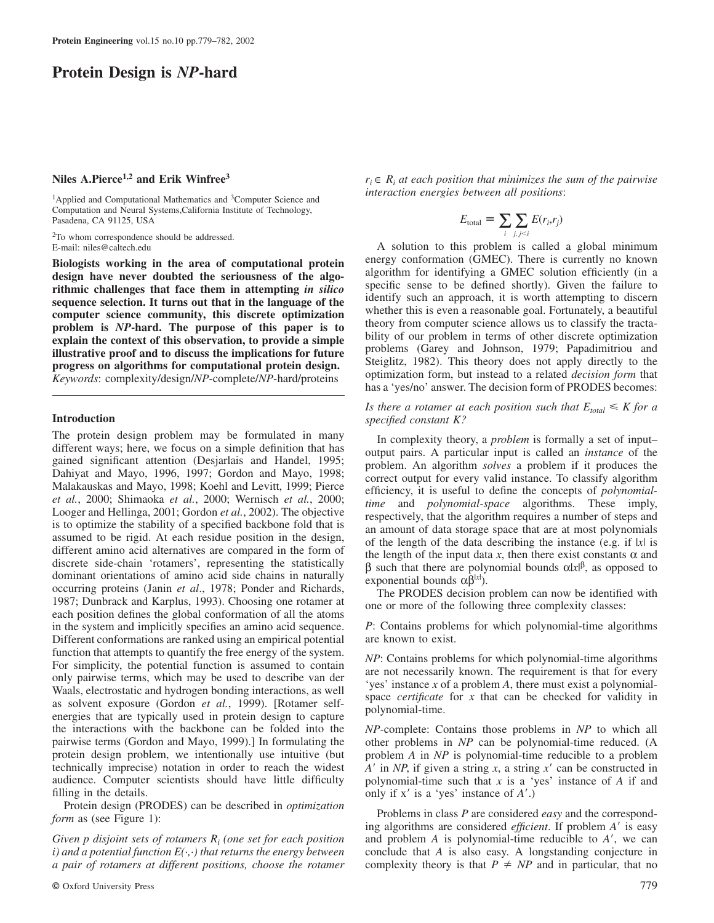# **Protein Design is** *NP***-hard**

## **Niles A.Pierce1,2 and Erik Winfree<sup>3</sup>**

<sup>1</sup>Applied and Computational Mathematics and <sup>3</sup>Computer Science and Computation and Neural Systems,California Institute of Technology, Pasadena, CA 91125, USA

2To whom correspondence should be addressed. E-mail: niles@caltech.edu

**Biologists working in the area of computational protein design have never doubted the seriousness of the algorithmic challenges that face them in attempting** *in silico* **sequence selection. It turns out that in the language of the computer science community, this discrete optimization problem is** *NP***-hard. The purpose of this paper is to explain the context of this observation, to provide a simple illustrative proof and to discuss the implications for future progress on algorithms for computational protein design.** *Keywords*: complexity/design/*NP*-complete/*NP*-hard/proteins

#### **Introduction**

The protein design problem may be formulated in many different ways; here, we focus on a simple definition that has gained significant attention (Desjarlais and Handel, 1995; Dahiyat and Mayo, 1996, 1997; Gordon and Mayo, 1998; Malakauskas and Mayo, 1998; Koehl and Levitt, 1999; Pierce *et al.*, 2000; Shimaoka *et al.*, 2000; Wernisch *et al.*, 2000; Looger and Hellinga, 2001; Gordon *et al.*, 2002). The objective is to optimize the stability of a specified backbone fold that is assumed to be rigid. At each residue position in the design, different amino acid alternatives are compared in the form of discrete side-chain 'rotamers', representing the statistically dominant orientations of amino acid side chains in naturally occurring proteins (Janin *et al*., 1978; Ponder and Richards, 1987; Dunbrack and Karplus, 1993). Choosing one rotamer at each position defines the global conformation of all the atoms in the system and implicitly specifies an amino acid sequence. Different conformations are ranked using an empirical potential function that attempts to quantify the free energy of the system. For simplicity, the potential function is assumed to contain only pairwise terms, which may be used to describe van der Waals, electrostatic and hydrogen bonding interactions, as well as solvent exposure (Gordon *et al.*, 1999). [Rotamer selfenergies that are typically used in protein design to capture the interactions with the backbone can be folded into the pairwise terms (Gordon and Mayo, 1999).] In formulating the protein design problem, we intentionally use intuitive (but technically imprecise) notation in order to reach the widest audience. Computer scientists should have little difficulty filling in the details.

Protein design (PRODES) can be described in *optimization form* as (see Figure 1):

*Given p disjoint sets of rotamers Ri (one set for each position*  $i)$  and a potential function  $E(\cdot, \cdot)$  that returns the energy between *a pair of rotamers at different positions, choose the rotamer*  $r_i \in R_i$  *at each position that minimizes the sum of the pairwise interaction energies between all positions*:

$$
E_{\text{total}} = \sum_{i} \sum_{j, j < i} E(r_i, r_j)
$$

A solution to this problem is called a global minimum energy conformation (GMEC). There is currently no known algorithm for identifying a GMEC solution efficiently (in a specific sense to be defined shortly). Given the failure to identify such an approach, it is worth attempting to discern whether this is even a reasonable goal. Fortunately, a beautiful theory from computer science allows us to classify the tractability of our problem in terms of other discrete optimization problems (Garey and Johnson, 1979; Papadimitriou and Steiglitz, 1982). This theory does not apply directly to the optimization form, but instead to a related *decision form* that has a 'yes/no' answer. The decision form of PRODES becomes:

## Is there a rotamer at each position such that  $E_{total} \leq K$  for a *specified constant K?*

In complexity theory, a *problem* is formally a set of input– output pairs. A particular input is called an *instance* of the problem. An algorithm *solves* a problem if it produces the correct output for every valid instance. To classify algorithm efficiency, it is useful to define the concepts of *polynomialtime* and *polynomial-space* algorithms. These imply, respectively, that the algorithm requires a number of steps and an amount of data storage space that are at most polynomials of the length of the data describing the instance (e.g. if |*x*| is the length of the input data  $x$ , then there exist constants  $\alpha$  and β such that there are polynomial bounds  $α|x|<sup>β</sup>$ , as opposed to exponential bounds  $\alpha\beta^{|x|}$ ).

The PRODES decision problem can now be identified with one or more of the following three complexity classes:

*P*: Contains problems for which polynomial-time algorithms are known to exist.

*NP*: Contains problems for which polynomial-time algorithms are not necessarily known. The requirement is that for every 'yes' instance *x* of a problem *A*, there must exist a polynomialspace *certificate* for *x* that can be checked for validity in polynomial-time.

*NP*-complete: Contains those problems in *NP* to which all other problems in *NP* can be polynomial-time reduced. (A problem *A* in *NP* is polynomial-time reducible to a problem  $\overline{A}$  in *NP*, if given a string *x*, a string *x*' can be constructed in polynomial-time such that *x* is a 'yes' instance of *A* if and only if  $x'$  is a 'yes' instance of  $A'$ .)

Problems in class *P* are considered *easy* and the corresponding algorithms are considered *efficient*. If problem *A* is easy and problem *A* is polynomial-time reducible to *A*, we can conclude that *A* is also easy. A longstanding conjecture in complexity theory is that  $P \neq NP$  and in particular, that no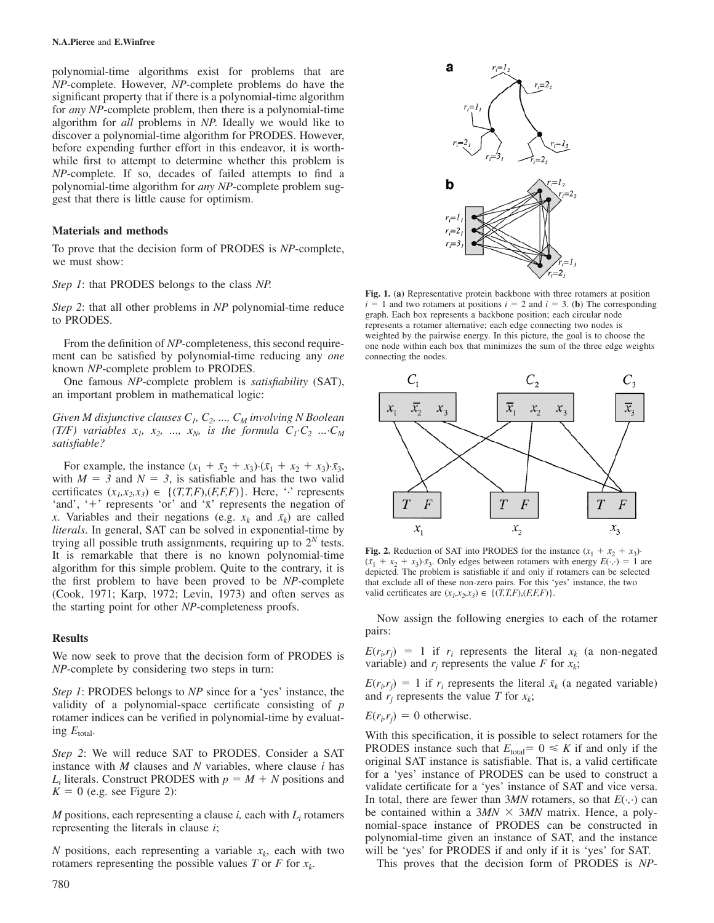polynomial-time algorithms exist for problems that are *NP*-complete. However, *NP*-complete problems do have the significant property that if there is a polynomial-time algorithm for *any NP*-complete problem, then there is a polynomial-time algorithm for *all* problems in *NP*. Ideally we would like to discover a polynomial-time algorithm for PRODES. However, before expending further effort in this endeavor, it is worthwhile first to attempt to determine whether this problem is *NP*-complete. If so, decades of failed attempts to find a polynomial-time algorithm for *any NP*-complete problem suggest that there is little cause for optimism.

## **Materials and methods**

To prove that the decision form of PRODES is *NP*-complete, we must show:

#### *Step 1*: that PRODES belongs to the class *NP.*

*Step 2*: that all other problems in *NP* polynomial-time reduce to PRODES.

From the definition of *NP*-completeness, this second requirement can be satisfied by polynomial-time reducing any *one* known *NP*-complete problem to PRODES.

One famous *NP*-complete problem is *satisfiability* (SAT), an important problem in mathematical logic:

*Given M disjunctive clauses C<sub>1</sub>, C<sub>2</sub>, ..., C<sub>M</sub> <i>involving N Boolean (T/F)* variables  $x_1$ ,  $x_2$ , ...,  $x_N$ , is the formula  $C_V C_2$  ....  $C_M$ *satisfiable?*

For example, the instance  $(x_1 + \bar{x}_2 + x_3) \cdot (\bar{x}_1 + x_2 + x_3) \cdot \bar{x}_3$ , with  $M = 3$  and  $N = 3$ , is satisfiable and has the two valid certificates  $(x_1, x_2, x_3) \in \{(T, T, F), (F, F, F)\}\.$  Here,  $\cdot \cdot$  represents 'and', ' $+$ ' represents 'or' and ' $\bar{x}$ ' represents the negation of *x*. Variables and their negations (e.g.  $x_k$  and  $\bar{x}_k$ ) are called *literals*. In general, SAT can be solved in exponential-time by trying all possible truth assignments, requiring up to  $2^N$  tests. It is remarkable that there is no known polynomial-time algorithm for this simple problem. Quite to the contrary, it is the first problem to have been proved to be *NP*-complete (Cook, 1971; Karp, 1972; Levin, 1973) and often serves as the starting point for other *NP*-completeness proofs.

#### **Results**

We now seek to prove that the decision form of PRODES is *NP*-complete by considering two steps in turn:

*Step 1*: PRODES belongs to *NP* since for a 'yes' instance, the validity of a polynomial-space certificate consisting of *p* rotamer indices can be verified in polynomial-time by evaluating *E*total.

*Step 2*: We will reduce SAT to PRODES. Consider a SAT instance with *M* clauses and *N* variables, where clause *i* has  $L_i$  literals. Construct PRODES with  $p = M + N$  positions and  $K = 0$  (e.g. see Figure 2):

*M* positions, each representing a clause *i,* each with *Li* rotamers representing the literals in clause *i*;

*N* positions, each representing a variable  $x_k$ , each with two rotamers representing the possible values  $T$  or  $F$  for  $x_k$ .





**Fig. 1.** (**a)** Representative protein backbone with three rotamers at position  $i = 1$  and two rotamers at positions  $i = 2$  and  $i = 3$ . (**b**) The corresponding graph. Each box represents a backbone position; each circular node represents a rotamer alternative; each edge connecting two nodes is weighted by the pairwise energy. In this picture, the goal is to choose the one node within each box that minimizes the sum of the three edge weights connecting the nodes.



**Fig. 2.** Reduction of SAT into PRODES for the instance  $(x_1 + \bar{x}_2 + x_3)$ ·  $(\bar{x}_1 + x_2 + x_3) \cdot \bar{x}_3$ . Only edges between rotamers with energy  $E(\cdot, \cdot) = 1$  are depicted. The problem is satisfiable if and only if rotamers can be selected that exclude all of these non-zero pairs. For this 'yes' instance, the two valid certificates are  $(x_1, x_2, x_3) \in \{(T, T, F), (F, F, F)\}.$ 

Now assign the following energies to each of the rotamer pairs:

 $E(r_i, r_j) = 1$  if  $r_i$  represents the literal  $x_k$  (a non-negated variable) and  $r_i$  represents the value  $F$  for  $x_k$ ;

 $E(r_i, r_j) = 1$  if  $r_i$  represents the literal  $\bar{x}_k$  (a negated variable) and  $r_i$  represents the value *T* for  $x_k$ ;

## $E(r_i, r_j) = 0$  otherwise.

With this specification, it is possible to select rotamers for the PRODES instance such that  $E_{\text{total}} = 0 \le K$  if and only if the original SAT instance is satisfiable. That is, a valid certificate for a 'yes' instance of PRODES can be used to construct a validate certificate for a 'yes' instance of SAT and vice versa. In total, there are fewer than  $3MN$  rotamers, so that  $E(\cdot, \cdot)$  can be contained within a  $3MN \times 3MN$  matrix. Hence, a polynomial-space instance of PRODES can be constructed in polynomial-time given an instance of SAT, and the instance will be 'yes' for PRODES if and only if it is 'yes' for SAT.

This proves that the decision form of PRODES is *NP*-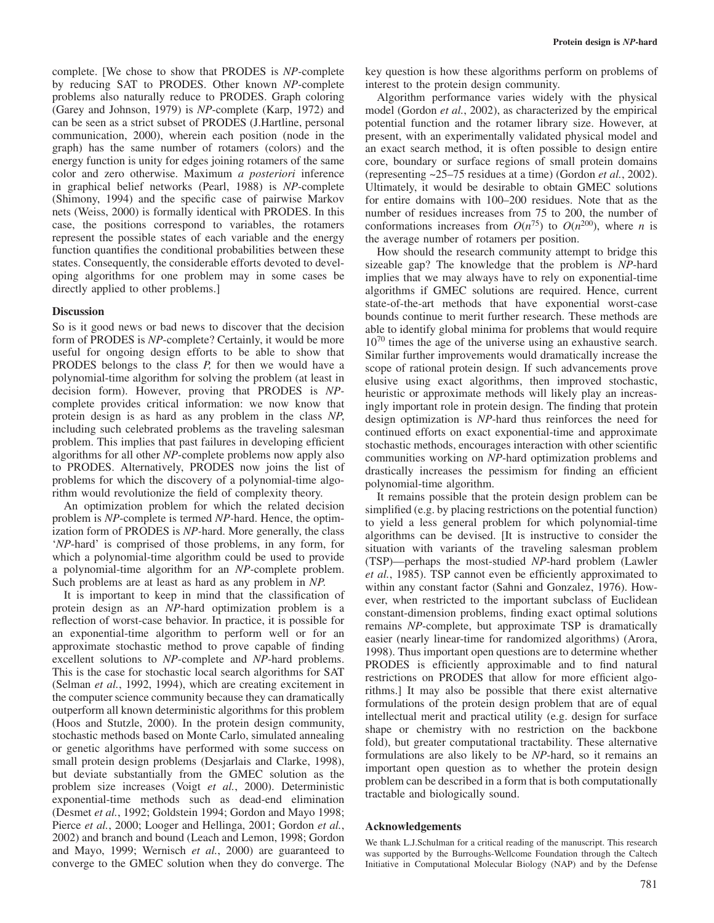complete. [We chose to show that PRODES is *NP*-complete by reducing SAT to PRODES. Other known *NP*-complete problems also naturally reduce to PRODES. Graph coloring (Garey and Johnson, 1979) is *NP*-complete (Karp, 1972) and can be seen as a strict subset of PRODES (J.Hartline, personal communication, 2000), wherein each position (node in the graph) has the same number of rotamers (colors) and the energy function is unity for edges joining rotamers of the same color and zero otherwise. Maximum *a posteriori* inference in graphical belief networks (Pearl, 1988) is *NP*-complete (Shimony, 1994) and the specific case of pairwise Markov nets (Weiss, 2000) is formally identical with PRODES. In this case, the positions correspond to variables, the rotamers represent the possible states of each variable and the energy function quantifies the conditional probabilities between these states. Consequently, the considerable efforts devoted to developing algorithms for one problem may in some cases be directly applied to other problems.]

#### **Discussion**

So is it good news or bad news to discover that the decision form of PRODES is *NP*-complete? Certainly, it would be more useful for ongoing design efforts to be able to show that PRODES belongs to the class *P,* for then we would have a polynomial-time algorithm for solving the problem (at least in decision form). However, proving that PRODES is *NP*complete provides critical information: we now know that protein design is as hard as any problem in the class *NP*, including such celebrated problems as the traveling salesman problem. This implies that past failures in developing efficient algorithms for all other *NP*-complete problems now apply also to PRODES. Alternatively, PRODES now joins the list of problems for which the discovery of a polynomial-time algorithm would revolutionize the field of complexity theory.

An optimization problem for which the related decision problem is *NP*-complete is termed *NP-*hard. Hence, the optimization form of PRODES is *NP-*hard. More generally, the class '*NP*-hard' is comprised of those problems, in any form, for which a polynomial-time algorithm could be used to provide a polynomial-time algorithm for an *NP*-complete problem. Such problems are at least as hard as any problem in *NP*.

It is important to keep in mind that the classification of protein design as an *NP*-hard optimization problem is a reflection of worst-case behavior. In practice, it is possible for an exponential-time algorithm to perform well or for an approximate stochastic method to prove capable of finding excellent solutions to *NP*-complete and *NP*-hard problems. This is the case for stochastic local search algorithms for SAT (Selman *et al.*, 1992, 1994), which are creating excitement in the computer science community because they can dramatically outperform all known deterministic algorithms for this problem (Hoos and Stutzle, 2000). In the protein design community, stochastic methods based on Monte Carlo, simulated annealing or genetic algorithms have performed with some success on small protein design problems (Desjarlais and Clarke, 1998), but deviate substantially from the GMEC solution as the problem size increases (Voigt *et al.*, 2000). Deterministic exponential-time methods such as dead-end elimination (Desmet *et al.*, 1992; Goldstein 1994; Gordon and Mayo 1998; Pierce *et al.*, 2000; Looger and Hellinga, 2001; Gordon *et al.*, 2002) and branch and bound (Leach and Lemon, 1998; Gordon and Mayo, 1999; Wernisch *et al.*, 2000) are guaranteed to converge to the GMEC solution when they do converge. The

key question is how these algorithms perform on problems of interest to the protein design community.

Algorithm performance varies widely with the physical model (Gordon *et al.*, 2002), as characterized by the empirical potential function and the rotamer library size. However, at present, with an experimentally validated physical model and an exact search method, it is often possible to design entire core, boundary or surface regions of small protein domains (representing ~25–75 residues at a time) (Gordon *et al.*, 2002). Ultimately, it would be desirable to obtain GMEC solutions for entire domains with 100–200 residues. Note that as the number of residues increases from 75 to 200, the number of conformations increases from  $O(n^{75})$  to  $O(n^{200})$ , where *n* is the average number of rotamers per position.

How should the research community attempt to bridge this sizeable gap? The knowledge that the problem is *NP*-hard implies that we may always have to rely on exponential-time algorithms if GMEC solutions are required. Hence, current state-of-the-art methods that have exponential worst-case bounds continue to merit further research. These methods are able to identify global minima for problems that would require  $10^{70}$  times the age of the universe using an exhaustive search. Similar further improvements would dramatically increase the scope of rational protein design. If such advancements prove elusive using exact algorithms, then improved stochastic, heuristic or approximate methods will likely play an increasingly important role in protein design. The finding that protein design optimization is *NP*-hard thus reinforces the need for continued efforts on exact exponential-time and approximate stochastic methods, encourages interaction with other scientific communities working on *NP*-hard optimization problems and drastically increases the pessimism for finding an efficient polynomial-time algorithm.

It remains possible that the protein design problem can be simplified (e.g. by placing restrictions on the potential function) to yield a less general problem for which polynomial-time algorithms can be devised. [It is instructive to consider the situation with variants of the traveling salesman problem (TSP)—perhaps the most-studied *NP*-hard problem (Lawler *et al.*, 1985). TSP cannot even be efficiently approximated to within any constant factor (Sahni and Gonzalez, 1976). However, when restricted to the important subclass of Euclidean constant-dimension problems, finding exact optimal solutions remains *NP*-complete, but approximate TSP is dramatically easier (nearly linear-time for randomized algorithms) (Arora, 1998). Thus important open questions are to determine whether PRODES is efficiently approximable and to find natural restrictions on PRODES that allow for more efficient algorithms.] It may also be possible that there exist alternative formulations of the protein design problem that are of equal intellectual merit and practical utility (e.g. design for surface shape or chemistry with no restriction on the backbone fold), but greater computational tractability. These alternative formulations are also likely to be *NP*-hard, so it remains an important open question as to whether the protein design problem can be described in a form that is both computationally tractable and biologically sound.

### **Acknowledgements**

We thank L.J.Schulman for a critical reading of the manuscript. This research was supported by the Burroughs-Wellcome Foundation through the Caltech Initiative in Computational Molecular Biology (NAP) and by the Defense